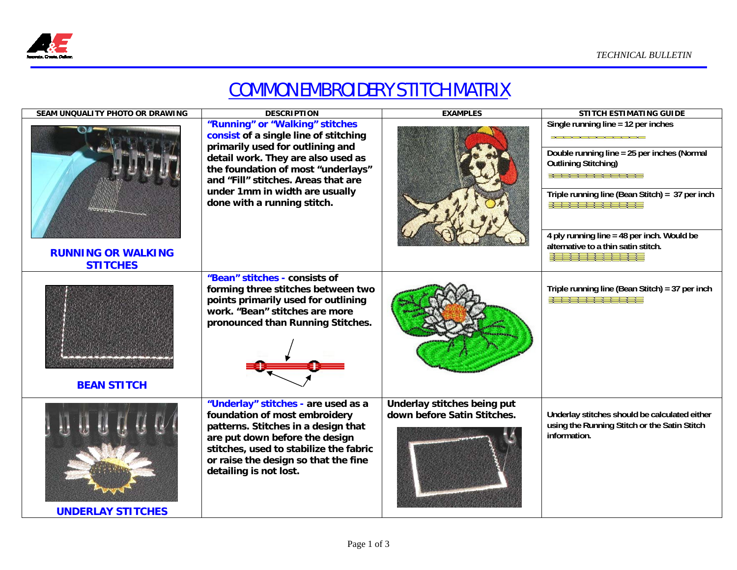

## COMMON EMBROIDERY STITCH MATRIX

| SEAM UNQUALITY PHOTO OR DRAWING              | <b>DESCRIPTION</b>                                                                                                                                                                                                                                                                               | <b>EXAMPLES</b>                                            | <b>STITCH ESTIMATING GUIDE</b>                                                                                                                                                                                                                                                                              |
|----------------------------------------------|--------------------------------------------------------------------------------------------------------------------------------------------------------------------------------------------------------------------------------------------------------------------------------------------------|------------------------------------------------------------|-------------------------------------------------------------------------------------------------------------------------------------------------------------------------------------------------------------------------------------------------------------------------------------------------------------|
| <b>RUNNING OR WALKING</b><br><b>STITCHES</b> | "Running" or "Walking" stitches<br>consist of a single line of stitching<br>primarily used for outlining and<br>detail work. They are also used as<br>the foundation of most "underlays"<br>and "Fill" stitches. Areas that are<br>under 1mm in width are usually<br>done with a running stitch. |                                                            | Single running line = 12 per inches<br><b>XXXXXXXXXXXX</b><br>Double running line = 25 per inches (Normal<br><b>Outlining Stitching)</b><br>Triple running line (Bean Stitch) = 37 per inch<br>4 ply running line = 48 per inch. Would be<br>alternative to a thin satin stitch.<br>3   3 3   3 3   1 3 3 3 |
| <b>BEAN STITCH</b>                           | "Bean" stitches - consists of<br>forming three stitches between two<br>points primarily used for outlining<br>work. "Bean" stitches are more<br>pronounced than Running Stitches.                                                                                                                |                                                            | Triple running line (Bean Stitch) = 37 per inch<br>3 1 3 3 1 3 3 1 1 3 3 1                                                                                                                                                                                                                                  |
| <b>UNDERLAY STITCHES</b>                     | "Underlay" stitches - are used as a<br>foundation of most embroidery<br>patterns. Stitches in a design that<br>are put down before the design<br>stitches, used to stabilize the fabric<br>or raise the design so that the fine<br>detailing is not lost.                                        | Underlay stitches being put<br>down before Satin Stitches. | Underlay stitches should be calculated either<br>using the Running Stitch or the Satin Stitch<br>information.                                                                                                                                                                                               |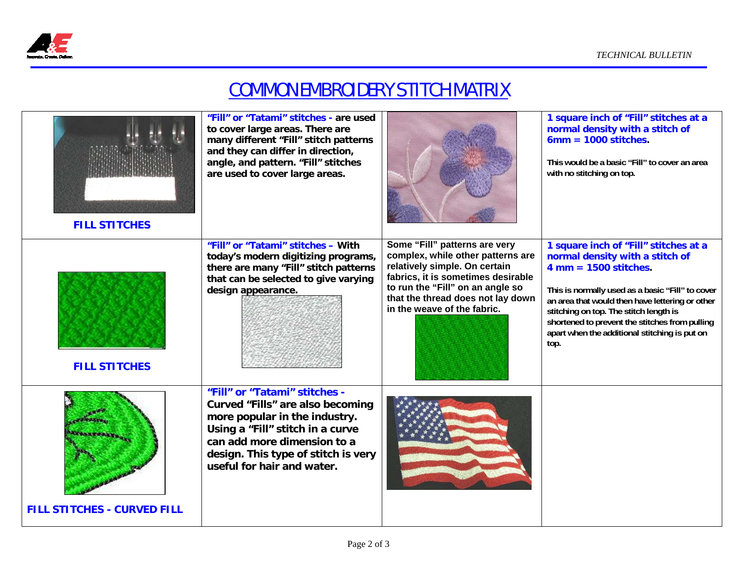

## COMMON EMBROIDERY STITCH MATRIX

| <b>FILL STITCHES</b>                                  | "Fill" or "Tatami" stitches - are used<br>to cover large areas. There are<br>many different "Fill" stitch patterns<br>and they can differ in direction,<br>angle, and pattern. "Fill" stitches<br>are used to cover large areas.           |                                                                                                                                                                                                                                                   | 1 square inch of "Fill" stitches at a<br>normal density with a stitch of<br>$6mm = 1000$ stitches.<br>This would be a basic "Fill" to cover an area<br>with no stitching on top.                                                                                                                                                                                                |
|-------------------------------------------------------|--------------------------------------------------------------------------------------------------------------------------------------------------------------------------------------------------------------------------------------------|---------------------------------------------------------------------------------------------------------------------------------------------------------------------------------------------------------------------------------------------------|---------------------------------------------------------------------------------------------------------------------------------------------------------------------------------------------------------------------------------------------------------------------------------------------------------------------------------------------------------------------------------|
| <b>FILL STITCHES</b>                                  | "Fill" or "Tatami" stitches - With<br>today's modern digitizing programs,<br>there are many "Fill" stitch patterns<br>that can be selected to give varying<br>design appearance.                                                           | Some "Fill" patterns are very<br>complex, while other patterns are<br>relatively simple. On certain<br>fabrics, it is sometimes desirable<br>to run the "Fill" on an angle so<br>that the thread does not lay down<br>in the weave of the fabric. | 1 square inch of "Fill" stitches at a<br>normal density with a stitch of<br>$4 \text{ mm} = 1500 \text{ stitches}.$<br>This is normally used as a basic "Fill" to cover<br>an area that would then have lettering or other<br>stitching on top. The stitch length is<br>shortened to prevent the stitches from pulling<br>apart when the additional stitching is put on<br>top. |
| <b>COMERANT</b><br><b>FILL STITCHES - CURVED FILL</b> | "Fill" or "Tatami" stitches -<br>Curved "Fills" are also becoming<br>more popular in the industry.<br>Using a "Fill" stitch in a curve<br>can add more dimension to a<br>design. This type of stitch is very<br>useful for hair and water. |                                                                                                                                                                                                                                                   |                                                                                                                                                                                                                                                                                                                                                                                 |